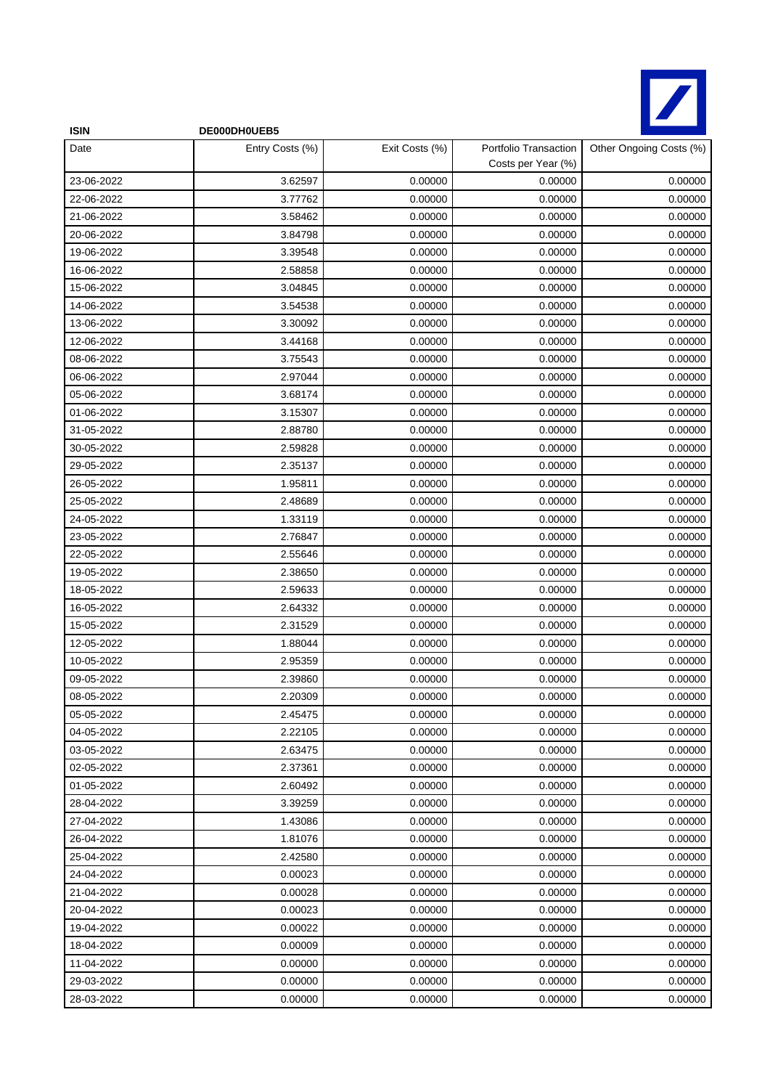

| <b>ISIN</b> | DE000DH0UEB5    |                |                                             |                         |
|-------------|-----------------|----------------|---------------------------------------------|-------------------------|
| Date        | Entry Costs (%) | Exit Costs (%) | Portfolio Transaction<br>Costs per Year (%) | Other Ongoing Costs (%) |
| 23-06-2022  | 3.62597         | 0.00000        | 0.00000                                     | 0.00000                 |
| 22-06-2022  | 3.77762         | 0.00000        | 0.00000                                     | 0.00000                 |
| 21-06-2022  | 3.58462         | 0.00000        | 0.00000                                     | 0.00000                 |
| 20-06-2022  | 3.84798         | 0.00000        | 0.00000                                     | 0.00000                 |
| 19-06-2022  | 3.39548         | 0.00000        | 0.00000                                     | 0.00000                 |
| 16-06-2022  | 2.58858         | 0.00000        | 0.00000                                     | 0.00000                 |
| 15-06-2022  | 3.04845         | 0.00000        | 0.00000                                     | 0.00000                 |
| 14-06-2022  | 3.54538         | 0.00000        | 0.00000                                     | 0.00000                 |
| 13-06-2022  | 3.30092         | 0.00000        | 0.00000                                     | 0.00000                 |
| 12-06-2022  | 3.44168         | 0.00000        | 0.00000                                     | 0.00000                 |
| 08-06-2022  | 3.75543         | 0.00000        | 0.00000                                     | 0.00000                 |
| 06-06-2022  | 2.97044         | 0.00000        | 0.00000                                     | 0.00000                 |
| 05-06-2022  | 3.68174         | 0.00000        | 0.00000                                     | 0.00000                 |
| 01-06-2022  | 3.15307         | 0.00000        | 0.00000                                     | 0.00000                 |
| 31-05-2022  | 2.88780         | 0.00000        | 0.00000                                     | 0.00000                 |
| 30-05-2022  | 2.59828         | 0.00000        | 0.00000                                     | 0.00000                 |
| 29-05-2022  | 2.35137         | 0.00000        | 0.00000                                     | 0.00000                 |
| 26-05-2022  | 1.95811         | 0.00000        | 0.00000                                     | 0.00000                 |
| 25-05-2022  | 2.48689         | 0.00000        | 0.00000                                     | 0.00000                 |
| 24-05-2022  | 1.33119         | 0.00000        | 0.00000                                     | 0.00000                 |
| 23-05-2022  | 2.76847         | 0.00000        | 0.00000                                     | 0.00000                 |
| 22-05-2022  | 2.55646         | 0.00000        | 0.00000                                     | 0.00000                 |
| 19-05-2022  | 2.38650         | 0.00000        | 0.00000                                     | 0.00000                 |
| 18-05-2022  | 2.59633         | 0.00000        | 0.00000                                     | 0.00000                 |
| 16-05-2022  | 2.64332         | 0.00000        | 0.00000                                     | 0.00000                 |
| 15-05-2022  | 2.31529         | 0.00000        | 0.00000                                     | 0.00000                 |
| 12-05-2022  | 1.88044         | 0.00000        | 0.00000                                     | 0.00000                 |
| 10-05-2022  | 2.95359         | 0.00000        | 0.00000                                     | 0.00000                 |
| 09-05-2022  | 2.39860         | 0.00000        | 0.00000                                     | 0.00000                 |
| 08-05-2022  | 2.20309         | 0.00000        | 0.00000                                     | 0.00000                 |
| 05-05-2022  | 2.45475         | 0.00000        | 0.00000                                     | 0.00000                 |
| 04-05-2022  | 2.22105         | 0.00000        | 0.00000                                     | 0.00000                 |
| 03-05-2022  | 2.63475         | 0.00000        | 0.00000                                     | 0.00000                 |
| 02-05-2022  | 2.37361         | 0.00000        | 0.00000                                     | 0.00000                 |
| 01-05-2022  | 2.60492         | 0.00000        | 0.00000                                     | 0.00000                 |
| 28-04-2022  | 3.39259         | 0.00000        | 0.00000                                     | 0.00000                 |
| 27-04-2022  | 1.43086         | 0.00000        | 0.00000                                     | 0.00000                 |
| 26-04-2022  | 1.81076         | 0.00000        | 0.00000                                     | 0.00000                 |
| 25-04-2022  | 2.42580         | 0.00000        | 0.00000                                     | 0.00000                 |
| 24-04-2022  | 0.00023         | 0.00000        | 0.00000                                     | 0.00000                 |
| 21-04-2022  | 0.00028         | 0.00000        | 0.00000                                     | 0.00000                 |
| 20-04-2022  | 0.00023         | 0.00000        | 0.00000                                     | 0.00000                 |
| 19-04-2022  | 0.00022         | 0.00000        | 0.00000                                     | 0.00000                 |
| 18-04-2022  | 0.00009         | 0.00000        | 0.00000                                     | 0.00000                 |
| 11-04-2022  | 0.00000         | 0.00000        | 0.00000                                     | 0.00000                 |
| 29-03-2022  | 0.00000         | 0.00000        | 0.00000                                     | 0.00000                 |
| 28-03-2022  | 0.00000         | 0.00000        | 0.00000                                     | 0.00000                 |